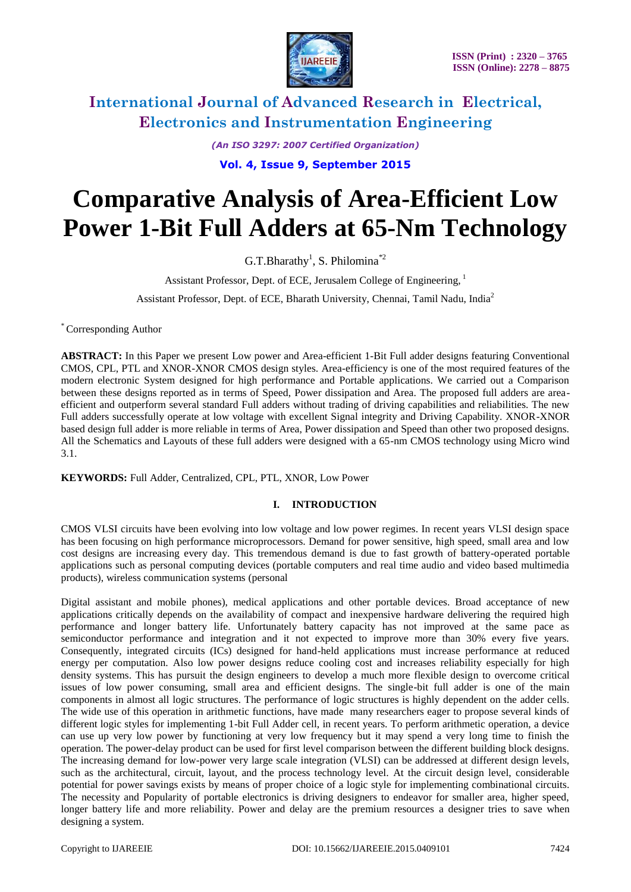

*(An ISO 3297: 2007 Certified Organization)* **Vol. 4, Issue 9, September 2015**

# **Comparative Analysis of Area-Efficient Low Power 1-Bit Full Adders at 65-Nm Technology**

G.T.Bharathy<sup>1</sup>, S. Philomina<sup>\*2</sup>

Assistant Professor, Dept. of ECE, Jerusalem College of Engineering, <sup>1</sup>

Assistant Professor, Dept. of ECE, Bharath University, Chennai, Tamil Nadu, India<sup>2</sup>

\* Corresponding Author

**ABSTRACT:** In this Paper we present Low power and Area-efficient 1-Bit Full adder designs featuring Conventional CMOS, CPL, PTL and XNOR-XNOR CMOS design styles. Area-efficiency is one of the most required features of the modern electronic System designed for high performance and Portable applications. We carried out a Comparison between these designs reported as in terms of Speed, Power dissipation and Area. The proposed full adders are areaefficient and outperform several standard Full adders without trading of driving capabilities and reliabilities. The new Full adders successfully operate at low voltage with excellent Signal integrity and Driving Capability. XNOR-XNOR based design full adder is more reliable in terms of Area, Power dissipation and Speed than other two proposed designs. All the Schematics and Layouts of these full adders were designed with a 65-nm CMOS technology using Micro wind 3.1.

**KEYWORDS:** Full Adder, Centralized, CPL, PTL, XNOR, Low Power

#### **I. INTRODUCTION**

CMOS VLSI circuits have been evolving into low voltage and low power regimes. In recent years VLSI design space has been focusing on high performance microprocessors. Demand for power sensitive, high speed, small area and low cost designs are increasing every day. This tremendous demand is due to fast growth of battery-operated portable applications such as personal computing devices (portable computers and real time audio and video based multimedia products), wireless communication systems (personal

Digital assistant and mobile phones), medical applications and other portable devices. Broad acceptance of new applications critically depends on the availability of compact and inexpensive hardware delivering the required high performance and longer battery life. Unfortunately battery capacity has not improved at the same pace as semiconductor performance and integration and it not expected to improve more than 30% every five years. Consequently, integrated circuits (ICs) designed for hand-held applications must increase performance at reduced energy per computation. Also low power designs reduce cooling cost and increases reliability especially for high density systems. This has pursuit the design engineers to develop a much more flexible design to overcome critical issues of low power consuming, small area and efficient designs. The single-bit full adder is one of the main components in almost all logic structures. The performance of logic structures is highly dependent on the adder cells. The wide use of this operation in arithmetic functions, have made many researchers eager to propose several kinds of different logic styles for implementing 1-bit Full Adder cell, in recent years. To perform arithmetic operation, a device can use up very low power by functioning at very low frequency but it may spend a very long time to finish the operation. The power-delay product can be used for first level comparison between the different building block designs. The increasing demand for low-power very large scale integration (VLSI) can be addressed at different design levels, such as the architectural, circuit, layout, and the process technology level. At the circuit design level, considerable potential for power savings exists by means of proper choice of a logic style for implementing combinational circuits. The necessity and Popularity of portable electronics is driving designers to endeavor for smaller area, higher speed, longer battery life and more reliability. Power and delay are the premium resources a designer tries to save when designing a system.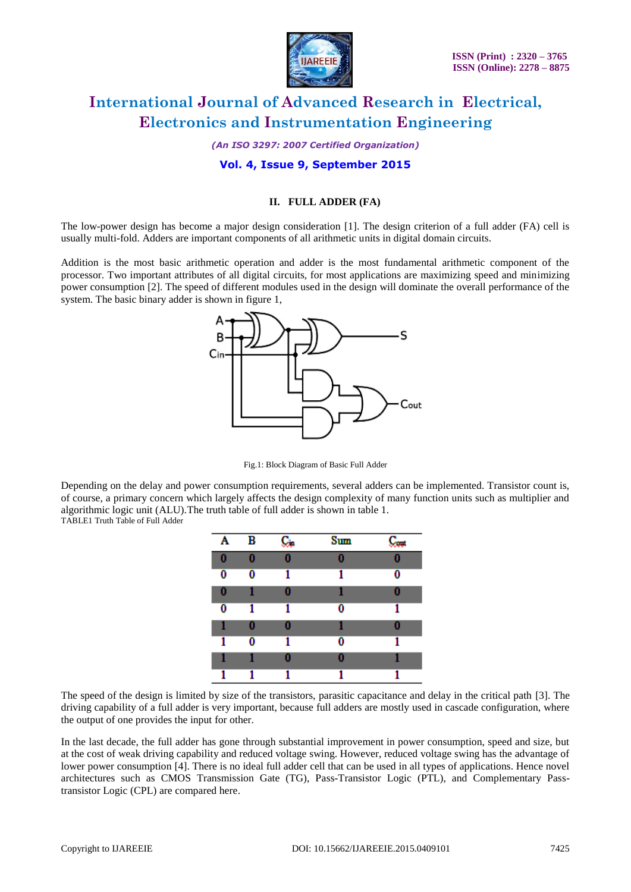

*(An ISO 3297: 2007 Certified Organization)*

#### **Vol. 4, Issue 9, September 2015**

#### **II. FULL ADDER (FA)**

The low-power design has become a major design consideration [1]. The design criterion of a full adder (FA) cell is usually multi-fold. Adders are important components of all arithmetic units in digital domain circuits.

Addition is the most basic arithmetic operation and adder is the most fundamental arithmetic component of the processor. Two important attributes of all digital circuits, for most applications are maximizing speed and minimizing power consumption [2]. The speed of different modules used in the design will dominate the overall performance of the system. The basic binary adder is shown in figure 1,



Fig.1: Block Diagram of Basic Full Adder

Depending on the delay and power consumption requirements, several adders can be implemented. Transistor count is, of course, a primary concern which largely affects the design complexity of many function units such as multiplier and algorithmic logic unit (ALU).The truth table of full adder is shown in table 1. TABLE1 Truth Table of Full Adder

> Ä  $\overline{\mathbf{B}}$ **Sum** C.  $C_{\text{out}}$  $\bf{0}$ Ō Ō 0 0  $\overline{\mathbf{0}}$  $\overline{\mathbf{0}}$ ī ī  $\overline{0}$ 0  $\bf{0}$ 1 0 -1  $\overline{\mathbf{0}}$ Ō 1 1 1 0 1 0 1 0  $\mathbf{1}$  $\bf{0}$ 1  $\bf{0}$ 1 0 1 1 0  $\overline{1}$ ī  $\overline{1}$ 1 1

The speed of the design is limited by size of the transistors, parasitic capacitance and delay in the critical path [3]. The driving capability of a full adder is very important, because full adders are mostly used in cascade configuration, where the output of one provides the input for other.

In the last decade, the full adder has gone through substantial improvement in power consumption, speed and size, but at the cost of weak driving capability and reduced voltage swing. However, reduced voltage swing has the advantage of lower power consumption [4]. There is no ideal full adder cell that can be used in all types of applications. Hence novel architectures such as CMOS Transmission Gate (TG), Pass-Transistor Logic (PTL), and Complementary Passtransistor Logic (CPL) are compared here.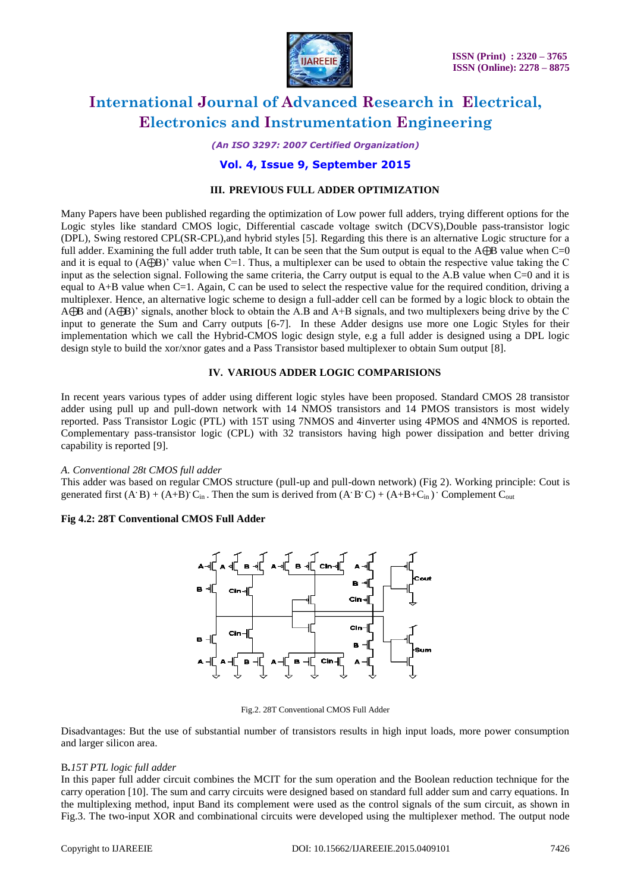

*(An ISO 3297: 2007 Certified Organization)*

#### **Vol. 4, Issue 9, September 2015**

#### **III. PREVIOUS FULL ADDER OPTIMIZATION**

Many Papers have been published regarding the optimization of Low power full adders, trying different options for the Logic styles like standard CMOS logic, Differential cascade voltage switch (DCVS),Double pass-transistor logic (DPL), Swing restored CPL(SR-CPL),and hybrid styles [5]. Regarding this there is an alternative Logic structure for a full adder. Examining the full adder truth table, It can be seen that the Sum output is equal to the  $A\oplus B$  value when  $C=0$ and it is equal to  $(A\oplus B)'$  value when C=1. Thus, a multiplexer can be used to obtain the respective value taking the C input as the selection signal. Following the same criteria, the Carry output is equal to the A.B value when C=0 and it is equal to  $A+B$  value when  $C=1$ . Again, C can be used to select the respective value for the required condition, driving a multiplexer. Hence, an alternative logic scheme to design a full-adder cell can be formed by a logic block to obtain the A⊕B and (A⊕B)" signals, another block to obtain the A.B and A+B signals, and two multiplexers being drive by the C input to generate the Sum and Carry outputs [6-7]. In these Adder designs use more one Logic Styles for their implementation which we call the Hybrid-CMOS logic design style, e.g a full adder is designed using a DPL logic design style to build the xor/xnor gates and a Pass Transistor based multiplexer to obtain Sum output [8].

#### **IV. VARIOUS ADDER LOGIC COMPARISIONS**

In recent years various types of adder using different logic styles have been proposed. Standard CMOS 28 transistor adder using pull up and pull-down network with 14 NMOS transistors and 14 PMOS transistors is most widely reported. Pass Transistor Logic (PTL) with 15T using 7NMOS and 4inverter using 4PMOS and 4NMOS is reported. Complementary pass-transistor logic (CPL) with 32 transistors having high power dissipation and better driving capability is reported [9].

#### *A. Conventional 28t CMOS full adder*

This adder was based on regular CMOS structure (pull-up and pull-down network) (Fig 2). Working principle: Cout is generated first  $(A \cdot B) + (A \cdot B) \cdot C_{in}$ . Then the sum is derived from  $(A \cdot B \cdot C) + (A \cdot B \cdot C_{in}) \cdot$  Complement  $C_{out}$ 

#### **Fig 4.2: 28T Conventional CMOS Full Adder**



Fig.2. 28T Conventional CMOS Full Adder

Disadvantages: But the use of substantial number of transistors results in high input loads, more power consumption and larger silicon area.

#### B*.15T PTL logic full adder*

In this paper full adder circuit combines the MCIT for the sum operation and the Boolean reduction technique for the carry operation [10]. The sum and carry circuits were designed based on standard full adder sum and carry equations. In the multiplexing method, input Band its complement were used as the control signals of the sum circuit, as shown in Fig.3. The two-input XOR and combinational circuits were developed using the multiplexer method. The output node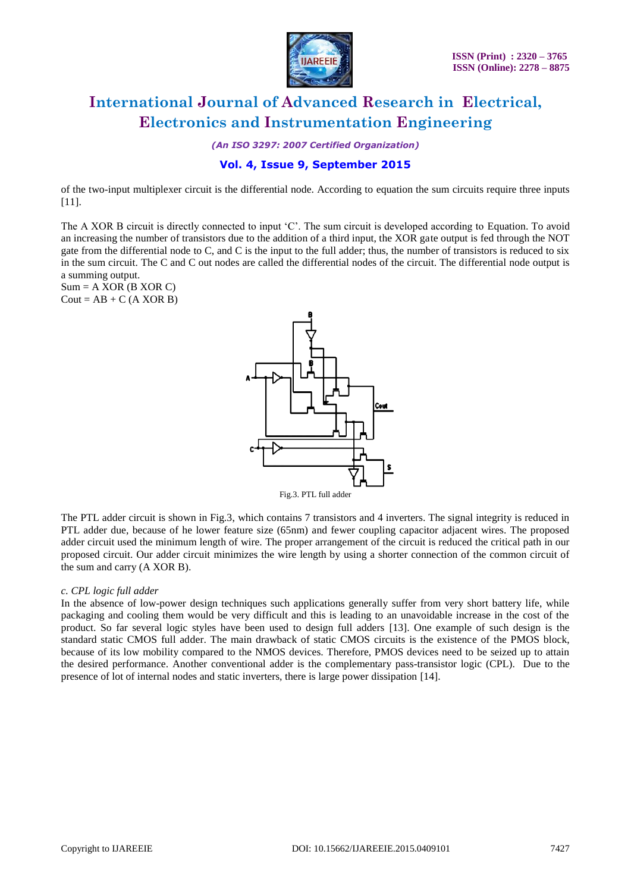

*(An ISO 3297: 2007 Certified Organization)*

#### **Vol. 4, Issue 9, September 2015**

of the two-input multiplexer circuit is the differential node. According to equation the sum circuits require three inputs [11].

The A XOR B circuit is directly connected to input 'C'. The sum circuit is developed according to Equation. To avoid an increasing the number of transistors due to the addition of a third input, the XOR gate output is fed through the NOT gate from the differential node to C, and C is the input to the full adder; thus, the number of transistors is reduced to six in the sum circuit. The C and C out nodes are called the differential nodes of the circuit. The differential node output is a summing output.

 $Sum = A XOR (B XOR C)$  $Cout = AB + C (A XOR B)$ 



The PTL adder circuit is shown in Fig.3, which contains 7 transistors and 4 inverters. The signal integrity is reduced in PTL adder due, because of he lower feature size (65nm) and fewer coupling capacitor adjacent wires. The proposed adder circuit used the minimum length of wire. The proper arrangement of the circuit is reduced the critical path in our proposed circuit. Our adder circuit minimizes the wire length by using a shorter connection of the common circuit of the sum and carry (A XOR B).

#### *c. CPL logic full adder*

In the absence of low-power design techniques such applications generally suffer from very short battery life, while packaging and cooling them would be very difficult and this is leading to an unavoidable increase in the cost of the product. So far several logic styles have been used to design full adders [13]. One example of such design is the standard static CMOS full adder. The main drawback of static CMOS circuits is the existence of the PMOS block, because of its low mobility compared to the NMOS devices. Therefore, PMOS devices need to be seized up to attain the desired performance. Another conventional adder is the complementary pass-transistor logic (CPL). Due to the presence of lot of internal nodes and static inverters, there is large power dissipation [14].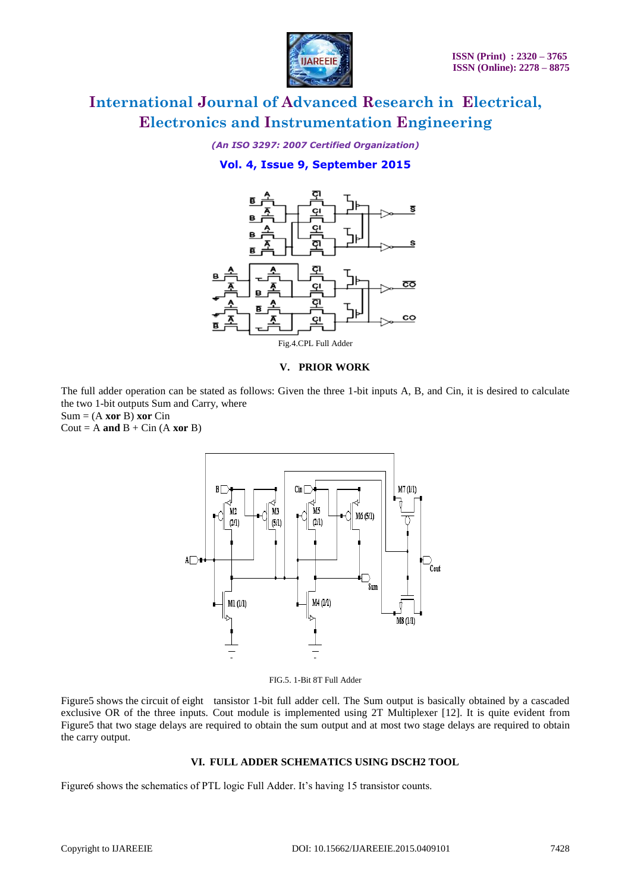

*(An ISO 3297: 2007 Certified Organization)*

#### **Vol. 4, Issue 9, September 2015**



#### **V. PRIOR WORK**

The full adder operation can be stated as follows: Given the three 1-bit inputs A, B, and Cin, it is desired to calculate the two 1-bit outputs Sum and Carry, where

 $Sum = (A \times P) \times P$ 

Cout =  $A$  **and**  $B$  + Cin ( $A$  **xor**  $B$ )



FIG.5. 1-Bit 8T Full Adder

Figure5 shows the circuit of eight tansistor 1-bit full adder cell. The Sum output is basically obtained by a cascaded exclusive OR of the three inputs. Cout module is implemented using 2T Multiplexer [12]. It is quite evident from Figure5 that two stage delays are required to obtain the sum output and at most two stage delays are required to obtain the carry output.

#### **VI. FULL ADDER SCHEMATICS USING DSCH2 TOOL**

Figure6 shows the schematics of PTL logic Full Adder. It's having 15 transistor counts.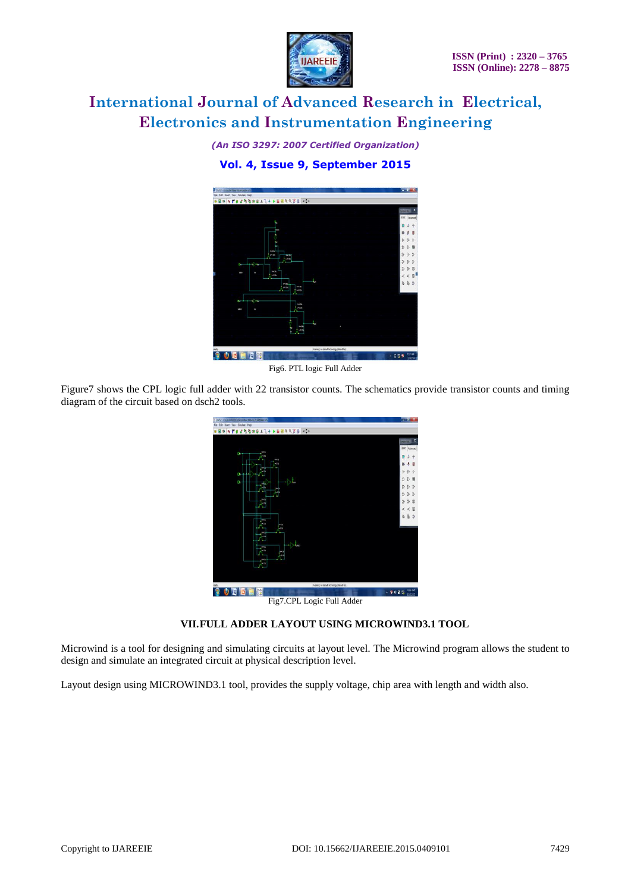

*(An ISO 3297: 2007 Certified Organization)*

### **Vol. 4, Issue 9, September 2015**



Fig6. PTL logic Full Adder

Figure7 shows the CPL logic full adder with 22 transistor counts. The schematics provide transistor counts and timing diagram of the circuit based on dsch2 tools.

| To Duty 2 - Children Alt T.Desiders Wew Edder City Inflations of | - ಕ                         |
|------------------------------------------------------------------|-----------------------------|
| File Edit Inset View Smulate Help                                |                             |
| ●日本 17日は他性中国人で十九日回転の父母 (1)                                       |                             |
|                                                                  | <b>Symont</b> Mr.           |
|                                                                  | Basic Advanced              |
| <b>THE</b><br>y.<br>80                                           |                             |
| <b>Ball</b><br><b>KG</b>                                         |                             |
| Ū,                                                               |                             |
| b.                                                               | 胃                           |
|                                                                  | 3<br>D                      |
| <b>Jeb</b>                                                       | 3                           |
| per b                                                            | g<br>Ď                      |
|                                                                  | R                           |
| <b>DOM</b>                                                       |                             |
| 48<br>49                                                         |                             |
|                                                                  |                             |
| ALC U                                                            |                             |
| PIS<br>$-15$                                                     |                             |
|                                                                  |                             |
| met h<br><b>DEGS</b>                                             |                             |
|                                                                  |                             |
|                                                                  |                             |
| Waning no default technology (default tec)                       |                             |
| 巤                                                                | 456 AM<br>・専も貸員<br>19/12/11 |
| Fig7.CPL Logic Full Adder                                        |                             |

**VII.FULL ADDER LAYOUT USING MICROWIND3.1 TOOL**

Microwind is a tool for designing and simulating circuits at layout level. The Microwind program allows the student to design and simulate an integrated circuit at physical description level.

Layout design using MICROWIND3.1 tool, provides the supply voltage, chip area with length and width also.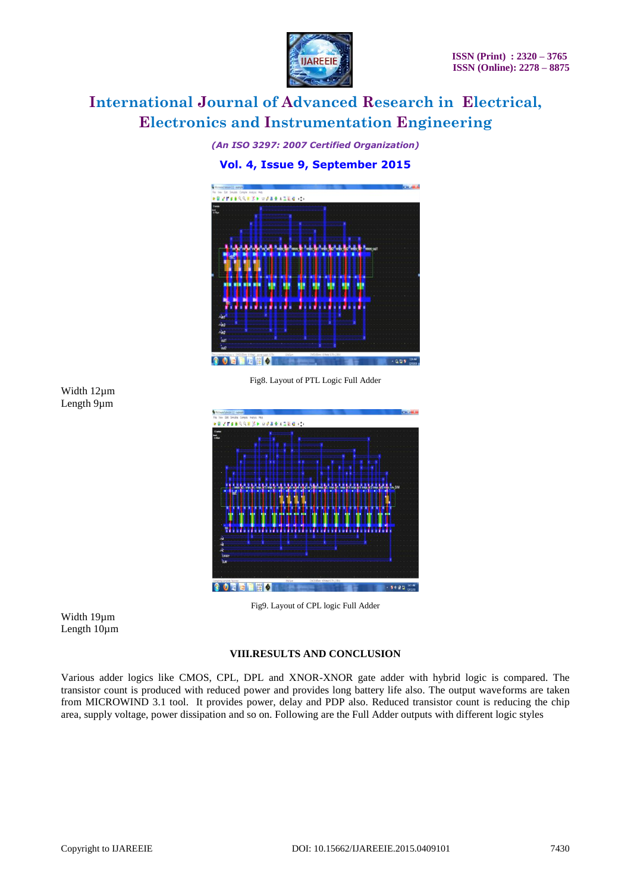

*(An ISO 3297: 2007 Certified Organization)*

#### **Vol. 4, Issue 9, September 2015**



Fig8. Layout of PTL Logic Full Adder

Width 12µm Length 9µm



Fig9. Layout of CPL logic Full Adder

Width 19µm Length 10µm

#### **VIII.RESULTS AND CONCLUSION**

Various adder logics like CMOS, CPL, DPL and XNOR-XNOR gate adder with hybrid logic is compared. The transistor count is produced with reduced power and provides long battery life also. The output waveforms are taken from MICROWIND 3.1 tool. It provides power, delay and PDP also. Reduced transistor count is reducing the chip area, supply voltage, power dissipation and so on. Following are the Full Adder outputs with different logic styles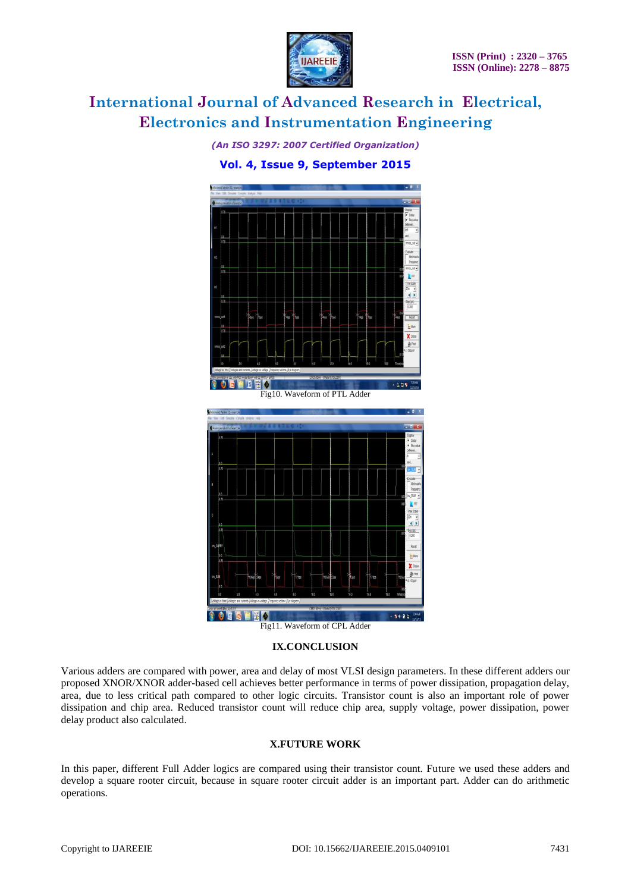

*(An ISO 3297: 2007 Certified Organization)*

#### **Vol. 4, Issue 9, September 2015**





#### **IX.CONCLUSION**

Various adders are compared with power, area and delay of most VLSI design parameters. In these different adders our proposed XNOR/XNOR adder-based cell achieves better performance in terms of power dissipation, propagation delay, area, due to less critical path compared to other logic circuits. Transistor count is also an important role of power dissipation and chip area. Reduced transistor count will reduce chip area, supply voltage, power dissipation, power delay product also calculated.

#### **X.FUTURE WORK**

In this paper, different Full Adder logics are compared using their transistor count. Future we used these adders and develop a square rooter circuit, because in square rooter circuit adder is an important part. Adder can do arithmetic operations.